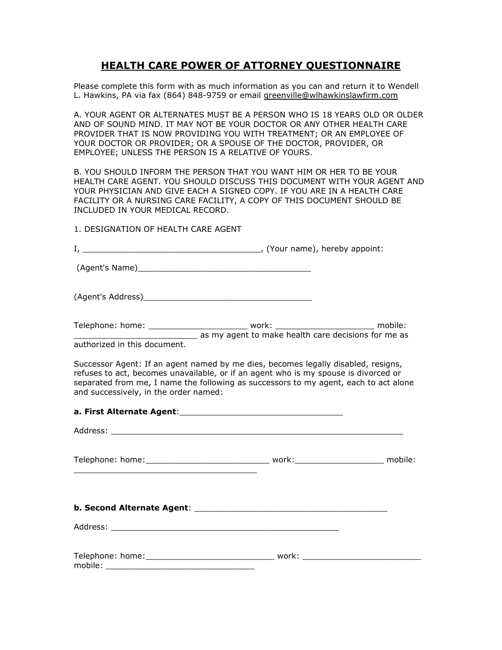# **HEALTH CARE POWER OF ATTORNEY QUESTIONNAIRE**

Please complete this form with as much information as you can and return it to Wendell L. Hawkins, PA via fax (864) 848-9759 or email greenville@wlhawkinslawfirm.com

A. YOUR AGENT OR ALTERNATES MUST BE A PERSON WHO IS 18 YEARS OLD OR OLDER AND OF SOUND MIND. IT MAY NOT BE YOUR DOCTOR OR ANY OTHER HEALTH CARE PROVIDER THAT IS NOW PROVIDING YOU WITH TREATMENT; OR AN EMPLOYEE OF YOUR DOCTOR OR PROVIDER; OR A SPOUSE OF THE DOCTOR, PROVIDER, OR EMPLOYEE; UNLESS THE PERSON IS A RELATIVE OF YOURS.

B. YOU SHOULD INFORM THE PERSON THAT YOU WANT HIM OR HER TO BE YOUR HEALTH CARE AGENT. YOU SHOULD DISCUSS THIS DOCUMENT WITH YOUR AGENT AND YOUR PHYSICIAN AND GIVE EACH A SIGNED COPY. IF YOU ARE IN A HEALTH CARE FACILITY OR A NURSING CARE FACILITY, A COPY OF THIS DOCUMENT SHOULD BE INCLUDED IN YOUR MEDICAL RECORD.

1. DESIGNATION OF HEALTH CARE AGENT

I, \_\_\_\_\_\_\_\_\_\_\_\_\_\_\_\_\_\_\_\_\_\_\_\_\_\_\_\_\_\_\_\_\_\_\_\_, (Your name), hereby appoint:

(Agent's Name)\_\_\_\_\_\_\_\_\_\_\_\_\_\_\_\_\_\_\_\_\_\_\_\_\_\_\_\_\_\_\_\_\_\_\_

(Agent's Address)\_\_\_\_\_\_\_\_\_\_\_\_\_\_\_\_\_\_\_\_\_\_\_\_\_\_\_\_\_\_\_\_\_\_

Telephone: home: \_\_\_\_\_\_\_\_\_\_\_\_\_\_\_\_\_\_\_\_ work: \_\_\_\_\_\_\_\_\_\_\_\_\_\_\_\_\_\_\_\_ mobile: as my agent to make health care decisions for me as authorized in this document.

Successor Agent: If an agent named by me dies, becomes legally disabled, resigns, refuses to act, becomes unavailable, or if an agent who is my spouse is divorced or separated from me, I name the following as successors to my agent, each to act alone and successively, in the order named:

| <u> 1989 - John Stone, Amerikaansk politiker (* 1908)</u> |  |
|-----------------------------------------------------------|--|
|                                                           |  |
|                                                           |  |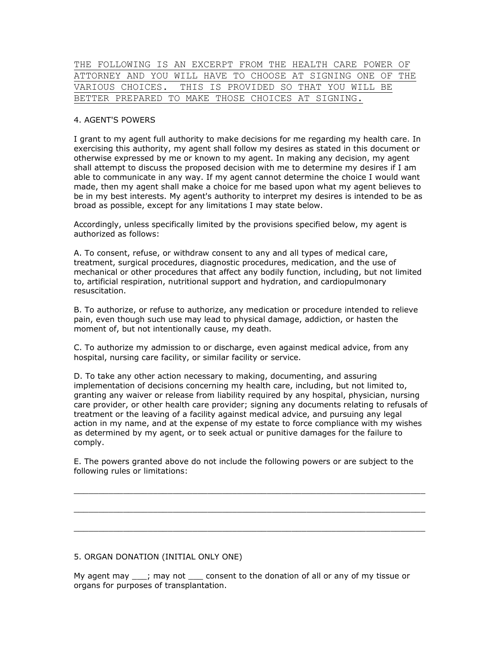THE FOLLOWING IS AN EXCERPT FROM THE HEALTH CARE POWER OF ATTORNEY AND YOU WILL HAVE TO CHOOSE AT SIGNING ONE OF THE VARIOUS CHOICES. THIS IS PROVIDED SO THAT YOU WILL BE BETTER PREPARED TO MAKE THOSE CHOICES AT SIGNING.

#### 4. AGENT'S POWERS

I grant to my agent full authority to make decisions for me regarding my health care. In exercising this authority, my agent shall follow my desires as stated in this document or otherwise expressed by me or known to my agent. In making any decision, my agent shall attempt to discuss the proposed decision with me to determine my desires if I am able to communicate in any way. If my agent cannot determine the choice I would want made, then my agent shall make a choice for me based upon what my agent believes to be in my best interests. My agent's authority to interpret my desires is intended to be as broad as possible, except for any limitations I may state below.

Accordingly, unless specifically limited by the provisions specified below, my agent is authorized as follows:

A. To consent, refuse, or withdraw consent to any and all types of medical care, treatment, surgical procedures, diagnostic procedures, medication, and the use of mechanical or other procedures that affect any bodily function, including, but not limited to, artificial respiration, nutritional support and hydration, and cardiopulmonary resuscitation.

B. To authorize, or refuse to authorize, any medication or procedure intended to relieve pain, even though such use may lead to physical damage, addiction, or hasten the moment of, but not intentionally cause, my death.

C. To authorize my admission to or discharge, even against medical advice, from any hospital, nursing care facility, or similar facility or service.

D. To take any other action necessary to making, documenting, and assuring implementation of decisions concerning my health care, including, but not limited to, granting any waiver or release from liability required by any hospital, physician, nursing care provider, or other health care provider; signing any documents relating to refusals of treatment or the leaving of a facility against medical advice, and pursuing any legal action in my name, and at the expense of my estate to force compliance with my wishes as determined by my agent, or to seek actual or punitive damages for the failure to comply.

E. The powers granted above do not include the following powers or are subject to the following rules or limitations:

 $\_$  ,  $\_$  ,  $\_$  ,  $\_$  ,  $\_$  ,  $\_$  ,  $\_$  ,  $\_$  ,  $\_$  ,  $\_$  ,  $\_$  ,  $\_$  ,  $\_$  ,  $\_$  ,  $\_$  ,  $\_$  ,  $\_$  ,  $\_$  ,  $\_$ 

 $\mathcal{L}_\mathcal{L} = \mathcal{L}_\mathcal{L} = \mathcal{L}_\mathcal{L} = \mathcal{L}_\mathcal{L} = \mathcal{L}_\mathcal{L} = \mathcal{L}_\mathcal{L} = \mathcal{L}_\mathcal{L} = \mathcal{L}_\mathcal{L} = \mathcal{L}_\mathcal{L} = \mathcal{L}_\mathcal{L} = \mathcal{L}_\mathcal{L} = \mathcal{L}_\mathcal{L} = \mathcal{L}_\mathcal{L} = \mathcal{L}_\mathcal{L} = \mathcal{L}_\mathcal{L} = \mathcal{L}_\mathcal{L} = \mathcal{L}_\mathcal{L}$ 

 $\_$  ,  $\_$  ,  $\_$  ,  $\_$  ,  $\_$  ,  $\_$  ,  $\_$  ,  $\_$  ,  $\_$  ,  $\_$  ,  $\_$  ,  $\_$  ,  $\_$  ,  $\_$  ,  $\_$  ,  $\_$  ,  $\_$  ,  $\_$  ,  $\_$ 

#### 5. ORGAN DONATION (INITIAL ONLY ONE)

My agent may \_\_\_; may not \_\_\_ consent to the donation of all or any of my tissue or organs for purposes of transplantation.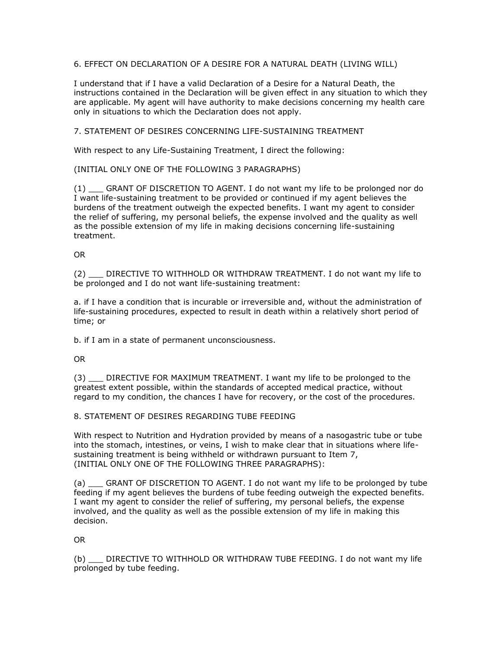## 6. EFFECT ON DECLARATION OF A DESIRE FOR A NATURAL DEATH (LIVING WILL)

I understand that if I have a valid Declaration of a Desire for a Natural Death, the instructions contained in the Declaration will be given effect in any situation to which they are applicable. My agent will have authority to make decisions concerning my health care only in situations to which the Declaration does not apply.

## 7. STATEMENT OF DESIRES CONCERNING LIFE-SUSTAINING TREATMENT

With respect to any Life-Sustaining Treatment, I direct the following:

### (INITIAL ONLY ONE OF THE FOLLOWING 3 PARAGRAPHS)

(1) \_\_\_ GRANT OF DISCRETION TO AGENT. I do not want my life to be prolonged nor do I want life-sustaining treatment to be provided or continued if my agent believes the burdens of the treatment outweigh the expected benefits. I want my agent to consider the relief of suffering, my personal beliefs, the expense involved and the quality as well as the possible extension of my life in making decisions concerning life-sustaining treatment.

OR

(2) \_\_\_ DIRECTIVE TO WITHHOLD OR WITHDRAW TREATMENT. I do not want my life to be prolonged and I do not want life-sustaining treatment:

a. if I have a condition that is incurable or irreversible and, without the administration of life-sustaining procedures, expected to result in death within a relatively short period of time; or

b. if I am in a state of permanent unconsciousness.

OR

(3) \_\_\_ DIRECTIVE FOR MAXIMUM TREATMENT. I want my life to be prolonged to the greatest extent possible, within the standards of accepted medical practice, without regard to my condition, the chances I have for recovery, or the cost of the procedures.

#### 8. STATEMENT OF DESIRES REGARDING TUBE FEEDING

With respect to Nutrition and Hydration provided by means of a nasogastric tube or tube into the stomach, intestines, or veins, I wish to make clear that in situations where lifesustaining treatment is being withheld or withdrawn pursuant to Item 7, (INITIAL ONLY ONE OF THE FOLLOWING THREE PARAGRAPHS):

(a) GRANT OF DISCRETION TO AGENT. I do not want my life to be prolonged by tube feeding if my agent believes the burdens of tube feeding outweigh the expected benefits. I want my agent to consider the relief of suffering, my personal beliefs, the expense involved, and the quality as well as the possible extension of my life in making this decision.

OR

(b) \_\_\_ DIRECTIVE TO WITHHOLD OR WITHDRAW TUBE FEEDING. I do not want my life prolonged by tube feeding.